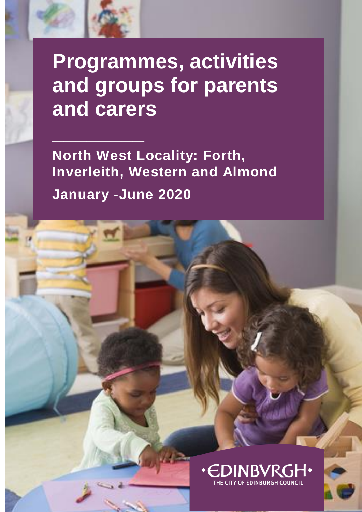

**North West Locality: Forth, Inverleith, Western and Almond January -June 2020**

1

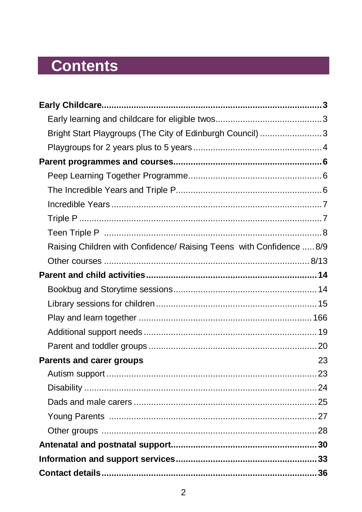# **Contents**

| Bright Start Playgroups (The City of Edinburgh Council) 3            |    |
|----------------------------------------------------------------------|----|
|                                                                      |    |
|                                                                      |    |
|                                                                      |    |
|                                                                      |    |
|                                                                      |    |
|                                                                      |    |
|                                                                      |    |
| Raising Children with Confidence/ Raising Teens with Confidence  8/9 |    |
|                                                                      |    |
|                                                                      |    |
|                                                                      |    |
|                                                                      |    |
|                                                                      |    |
|                                                                      |    |
|                                                                      |    |
| <b>Parents and carer groups</b>                                      | 23 |
|                                                                      |    |
|                                                                      |    |
|                                                                      |    |
|                                                                      |    |
|                                                                      |    |
|                                                                      |    |
|                                                                      |    |
|                                                                      |    |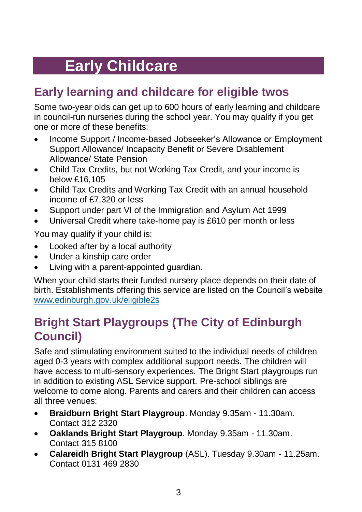# **Early Childcare**

## <span id="page-2-1"></span><span id="page-2-0"></span>**Early learning and childcare for eligible twos**

Some two-year olds can get up to 600 hours of early learning and childcare in council-run nurseries during the school year. You may qualify if you get one or more of these benefits:

- Income Support / Income-based Jobseeker's Allowance or Employment Support Allowance/ Incapacity Benefit or Severe Disablement Allowance/ State Pension
- Child Tax Credits, but not Working Tax Credit, and your income is below £16,105
- Child Tax Credits and Working Tax Credit with an annual household income of £7,320 or less
- Support under part VI of the Immigration and Asylum Act 1999
- Universal Credit where take-home pay is £610 per month or less

You may qualify if your child is:

- Looked after by a local authority
- Under a kinship care order
- Living with a parent-appointed guardian.

When your child starts their funded nursery place depends on their date of birth. Establishments offering this service are listed on the Council's website [www.edinburgh.gov.uk/eligible2s](http://www.edinburgh.gov.uk/eligible2s)

## <span id="page-2-2"></span>**Bright Start Playgroups (The City of Edinburgh Council)**

Safe and stimulating environment suited to the individual needs of children aged 0-3 years with complex additional support needs. The children will have access to multi-sensory experiences. The Bright Start playgroups run in addition to existing ASL Service support. Pre-school siblings are welcome to come along. Parents and carers and their children can access all three venues:

- **Braidburn Bright Start Playgroup**. Monday 9.35am 11.30am. Contact 312 2320
- **Oaklands Bright Start Playgroup**. Monday 9.35am 11.30am. Contact 315 8100
- **Calareidh Bright Start Playgroup** (ASL). Tuesday 9.30am 11.25am. Contact 0131 469 2830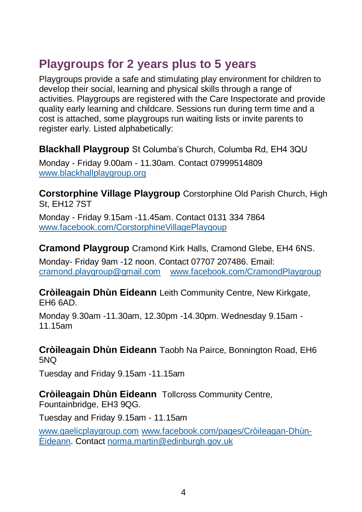## <span id="page-3-0"></span>**Playgroups for 2 years plus to 5 years**

Playgroups provide a safe and stimulating play environment for children to develop their social, learning and physical skills through a range of activities. Playgroups are registered with the Care Inspectorate and provide quality early learning and childcare. Sessions run during term time and a cost is attached, some playgroups run waiting lists or invite parents to register early. Listed alphabetically:

**Blackhall Playgroup** St Columba's Church, Columba Rd, EH4 3QU Monday - Friday 9.00am - 11.30am. Contact 07999514809 [www.blackhallplaygroup.org](http://www.blackhallplaygroup.org/)

**Corstorphine Village Playgroup** Corstorphine Old Parish Church, High St, EH12 7ST

Monday - Friday 9.15am -11.45am. Contact 0131 334 7864 [www.facebook.com/CorstorphineVillagePlaygoup](http://www.facebook.com/CorstorphineVillagePlaygoup)

**Cramond Playgroup** Cramond Kirk Halls, Cramond Glebe, EH4 6NS.

Monday- Friday 9am -12 noon. Contact 07707 207486. Email: [cramond.playgroup@gmail.com](mailto:cramond.playgroup@gmail.com) [www.facebook.com/CramondPlaygroup](http://www.facebook.com/CramondPlaygroup)

**Cròileagain Dhùn Eideann** Leith Community Centre, New Kirkgate, EH6 6AD.

Monday 9.30am -11.30am, 12.30pm -14.30pm. Wednesday 9.15am - 11.15am

**Cròileagain Dhùn Eideann** Taobh Na Pairce, Bonnington Road, EH6 5NQ

Tuesday and Friday 9.15am -11.15am

#### **Cròileagain Dhùn Eideann** Tollcross Community Centre,

Fountainbridge, EH3 9QG.

Tuesday and Friday 9.15am - 11.15am

[www.gaelicplaygroup.com](http://www.gaelicplaygroup.com/) [www.facebook.com/pages/Cròileagan-Dhùn-](http://www.facebook.com/pages/Cròileagan-Dhùn-Èideann)[Èideann.](http://www.facebook.com/pages/Cròileagan-Dhùn-Èideann) Contact [norma.martin@edinburgh.gov.uk](mailto:norma.martin@edinburgh.gov.uk)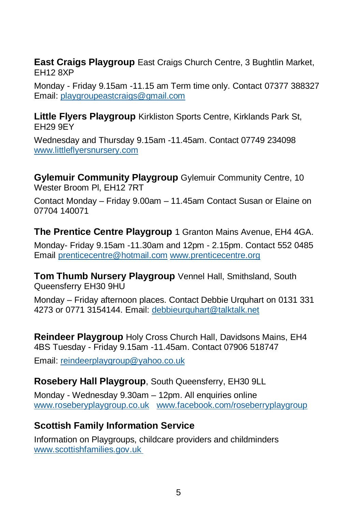**East Craigs Playgroup** East Craigs Church Centre, 3 Bughtlin Market, EH12 8XP

Monday - Friday 9.15am -11.15 am Term time only. Contact 07377 388327 Email: [playgroupeastcraigs@gmail.com](mailto:playgroupeastcraigs@gmail.com)

**Little Flyers Playgroup** Kirkliston Sports Centre, Kirklands Park St, EH29 9EY

Wednesday and Thursday 9.15am -11.45am. Contact 07749 234098 [www.littleflyersnursery.com](http://www.littleflyersnursery.com/)

**Gylemuir Community Playgroup** Gylemuir Community Centre, 10 Wester Broom Pl, EH12 7RT

Contact Monday – Friday 9.00am – 11.45am Contact Susan or Elaine on 07704 140071

**The Prentice Centre Playgroup** 1 Granton Mains Avenue, EH4 4GA.

Monday- Friday 9.15am -11.30am and 12pm - 2.15pm. Contact 552 0485 Email [prenticecentre@hotmail.com](mailto:prenticecentre@hotmail.com) [www.prenticecentre.org](http://www.prenticecentre.org/)

**Tom Thumb Nursery Playgroup** Vennel Hall, Smithsland, South Queensferry EH30 9HU

Monday – Friday afternoon places. Contact Debbie Urquhart on 0131 331 4273 or 0771 3154144. Email: [debbieurquhart@talktalk.net](mailto:debbieurquhart@talktalk.net)

**Reindeer Playgroup** Holy Cross Church Hall, Davidsons Mains, EH4 4BS Tuesday - Friday 9.15am -11.45am. Contact 07906 518747

Email: [reindeerplaygroup@yahoo.co.uk](mailto:reindeerplaygroup@yahoo.co.uk)

**Rosebery Hall Playgroup**, South Queensferry, EH30 9LL

Monday - Wednesday 9.30am – 12pm. All enquiries online [www.roseberyplaygroup.co.uk](http://www.roseberyplaygroup.co.uk/) [www.facebook.com/roseberryplaygroup](http://www.facebook.com/roseberryplaygroup)

### **Scottish Family Information Service**

Information on Playgroups, childcare providers and childminders [www.scottishfamilies.gov.uk](http://www.scottishfamilies.gov.uk/)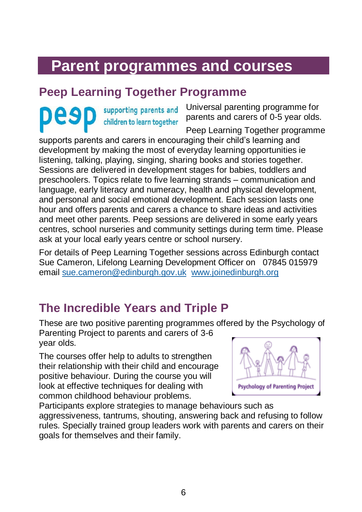# <span id="page-5-0"></span>**Parent programmes and courses**

## <span id="page-5-1"></span>**Peep Learning Together Programme**

supporting parents and children to learn together

Universal parenting programme for parents and carers of 0-5 year olds.

Peep Learning Together programme

supports parents and carers in encouraging their child's learning and development by making the most of everyday learning opportunities ie listening, talking, playing, singing, sharing books and stories together. Sessions are delivered in development stages for babies, toddlers and preschoolers. Topics relate to five learning strands – communication and language, early literacy and numeracy, health and physical development, and personal and social emotional development. Each session lasts one hour and offers parents and carers a chance to share ideas and activities and meet other parents. Peep sessions are delivered in some early years centres, school nurseries and community settings during term time. Please ask at your local early years centre or school nursery.

For details of Peep Learning Together sessions across Edinburgh contact Sue Cameron, Lifelong Learning Development Officer on 07845 015979 email [sue.cameron@edinburgh.gov.uk](mailto:sue.cameron@edinburgh.gov.uk) [www.joinedinburgh.org](http://www.joinedinburgh.org/)

## <span id="page-5-2"></span>**The Incredible Years and Triple P**

These are two positive parenting programmes offered by the Psychology of Parenting Project to parents and carers of 3-6

year olds.

The courses offer help to adults to strengthen their relationship with their child and encourage positive behaviour. During the course you will look at effective techniques for dealing with common childhood behaviour problems.



Participants explore strategies to manage behaviours such as aggressiveness, tantrums, shouting, answering back and refusing to follow rules. Specially trained group leaders work with parents and carers on their goals for themselves and their family.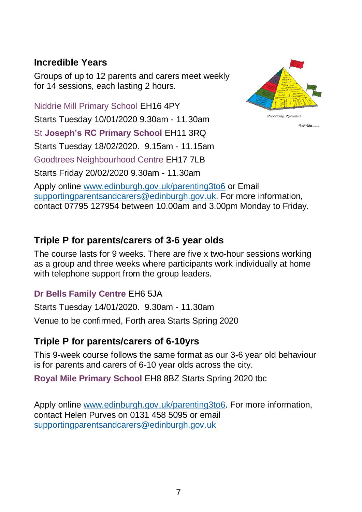### <span id="page-6-0"></span>**Incredible Years**

Groups of up to 12 parents and carers meet weekly for 14 sessions, each lasting 2 hours.

Niddrie Mill Primary School EH16 4PY Parenting Pyramid Starts Tuesday 10/01/2020 9.30am - 11.30am Himmidsen. St **Joseph's RC Primary School** EH11 3RQ Starts Tuesday 18/02/2020. 9.15am - 11.15am Goodtrees Neighbourhood Centre EH17 7LB Starts Friday 20/02/2020 9.30am - 11.30am Apply online [www.edinburgh.gov.uk/parenting3to6](http://www.edinburgh.gov.uk/parenting3to6) or Email [supportingparentsandcarers@edinburgh.gov.uk.](mailto:supportingparentsandcarers@edinburgh.gov.uk) For more information, contact 07795 127954 between 10.00am and 3.00pm Monday to Friday.

## **Triple P for parents/carers of 3-6 year olds**

The course lasts for 9 weeks. There are five x two-hour sessions working as a group and three weeks where participants work individually at home with telephone support from the group leaders.

#### **Dr Bells Family Centre** EH6 5JA

Starts Tuesday 14/01/2020. 9.30am - 11.30am

Venue to be confirmed, Forth area Starts Spring 2020

### **Triple P for parents/carers of 6-10yrs**

This 9-week course follows the same format as our 3-6 year old behaviour is for parents and carers of 6-10 year olds across the city.

**Royal Mile Primary School** EH8 8BZ Starts Spring 2020 tbc

Apply online [www.edinburgh.gov.uk/parenting3to6.](http://www.edinburgh.gov.uk/parenting3to6) For more information, contact Helen Purves on 0131 458 5095 or email [supportingparentsandcarers@edinburgh.gov.uk](mailto:supportingparentsandcarers@edinburgh.gov.uk)

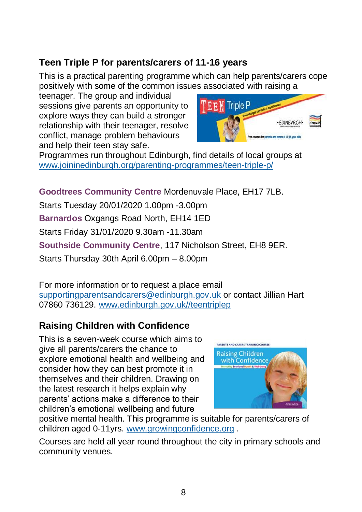## **Teen Triple P for parents/carers of 11-16 years**

This is a practical parenting programme which can help parents/carers cope positively with some of the common issues associated with raising a

teenager. The group and individual sessions give parents an opportunity to explore ways they can build a stronger relationship with their teenager, resolve conflict, manage problem behaviours and help their teen stay safe.



Programmes run throughout Edinburgh, find details of local groups at [www.joininedinburgh.org/parenting-programmes/teen-triple-p/](http://www.joininedinburgh.org/parenting-programmes/teen-triple-p/)

**Goodtrees Community Centre** Mordenuvale Place, EH17 7LB.

Starts Tuesday 20/01/2020 1.00pm -3.00pm **Barnardos** Oxgangs Road North, EH14 1ED Starts Friday 31/01/2020 9.30am -11.30am **Southside Community Centre**, 117 Nicholson Street, EH8 9ER. Starts Thursday 30th April 6.00pm – 8.00pm

For more information or to request a place email [supportingparentsandcarers@edinburgh.gov.uk](mailto:supportingparentsandcarers@edinburgh.gov.uk) or contact Jillian Hart 07860 736129. [www.edinburgh.gov.uk//teentriplep](http://www.edinburgh.gov.uk/teentriplep)

## **Raising Children with Confidence**

This is a seven-week course which aims to give all parents/carers the chance to explore emotional health and wellbeing and consider how they can best promote it in themselves and their children. Drawing on the latest research it helps explain why parents' actions make a difference to their children's emotional wellbeing and future



positive mental health. This programme is suitable for parents/carers of children aged 0-11yrs. [www.growingconfidence.org](http://www.growingconfidence.org/) .

Courses are held all year round throughout the city in primary schools and community venues.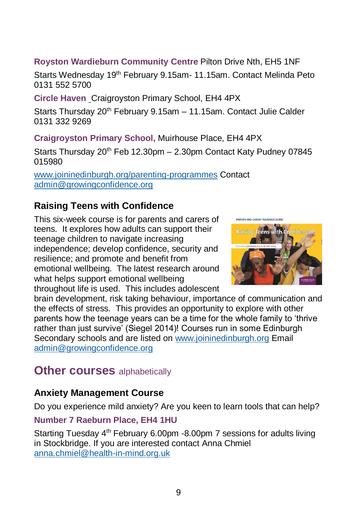#### **Royston Wardieburn Community Centre** Pilton Drive Nth, EH5 1NF

Starts Wednesday 19<sup>th</sup> February 9.15am- 11.15am. Contact Melinda Peto 0131 552 5700

**Circle Haven** Craigroyston Primary School, EH4 4PX

Starts Thursday 20<sup>th</sup> February 9.15am - 11.15am. Contact Julie Calder 0131 332 9269

**Craigroyston Primary School,** Muirhouse Place, EH4 4PX

Starts Thursday 20<sup>th</sup> Feb 12.30pm – 2.30pm Contact Katy Pudney 07845 015980

[www.joininedinburgh.org/parenting-programmes](http://www.joininedinburgh.org/parenting-programmes) Contact [admin@growingconfidence.org](mailto:admin@growingconfidence.org)

### **Raising Teens with Confidence**

This six-week course is for parents and carers of teens. It explores how adults can support their teenage children to navigate increasing independence; develop confidence, security and resilience; and promote and benefit from emotional wellbeing. The latest research around what helps support emotional wellbeing throughout life is used. This includes adolescent



brain development, risk taking behaviour, importance of communication and the effects of stress. This provides an opportunity to explore with other parents how the teenage years can be a time for the whole family to 'thrive rather than just survive' (Siegel 2014)! Courses run in some Edinburgh Secondary schools and are listed on [www.joininedinburgh.org](http://www.joininedinburgh.org/) Email [admin@growingconfidence.org](mailto:admin@growingconfidence.org)

## <span id="page-8-0"></span>**Other courses** alphabetically

### **Anxiety Management Course**

Do you experience mild anxiety? Are you keen to learn tools that can help?

#### **Number 7 Raeburn Place, EH4 1HU**

Starting Tuesday 4<sup>th</sup> February 6.00pm -8.00pm 7 sessions for adults living in Stockbridge. If you are interested contact Anna Chmiel [anna.chmiel@health-in-mind.org.uk](mailto:anna.chmiel@health-in-mind.org.uk)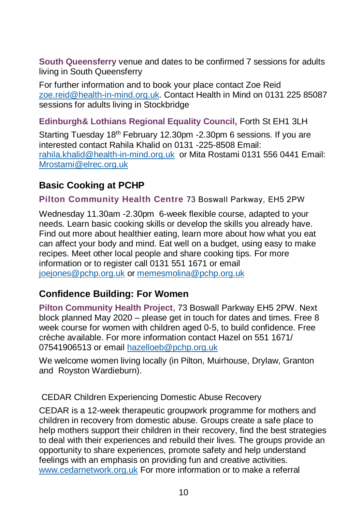**South Queensferry** venue and dates to be confirmed 7 sessions for adults living in South Queensferry

For further information and to book your place contact Zoe Reid [zoe.reid@health-in-mind.org.uk.](mailto:zoe.reid@health-in-mind.org.uk) Contact Health in Mind on 0131 225 85087 sessions for adults living in Stockbridge

#### **Edinburgh& Lothians Regional Equality Council,** Forth St EH1 3LH

Starting Tuesday 18<sup>th</sup> February 12.30pm -2.30pm 6 sessions. If you are interested contact Rahila Khalid on 0131 -225-8508 Email: [rahila.khalid@health-in-mind.org.uk](mailto:rahila.khalid@health-in-mind.org.uk) or Mita Rostami 0131 556 0441 Email: [Mrostami@elrec.org.uk](mailto:Mrostami@elrec.org.uk)

#### **Basic Cooking at PCHP**

**Pilton Community Health Centre** 73 Boswall Parkway, EH5 2PW

Wednesday 11.30am -2.30pm 6-week flexible course, adapted to your needs. Learn basic cooking skills or develop the skills you already have. Find out more about healthier eating, learn more about how what you eat can affect your body and mind. Eat well on a budget, using easy to make recipes. Meet other local people and share cooking tips. For more information or to register call 0131 551 1671 or email [joejones@pchp.org.uk](mailto:joejones@pchp.org.uk) o[r memesmolina@pchp.org.uk](mailto:memesmolina@pchp.org.uk)

#### **Confidence Building: For Women**

**Pilton Community Health Project**, 73 Boswall Parkway EH5 2PW. Next block planned May 2020 – please get in touch for dates and times. Free 8 week course for women with children aged 0-5, to build confidence. Free crèche available. For more information contact Hazel on 551 1671/ 07541906513 or emai[l hazelloeb@pchp.org.uk](mailto:hazelloeb@pchp.org.uk)

We welcome women living locally (in Pilton, Muirhouse, Drylaw, Granton and Royston Wardieburn).

CEDAR Children Experiencing Domestic Abuse Recovery

CEDAR is a 12-week therapeutic groupwork programme for mothers and children in recovery from domestic abuse. Groups create a safe place to help mothers support their children in their recovery, find the best strategies to deal with their experiences and rebuild their lives. The groups provide an opportunity to share experiences, promote safety and help understand feelings with an emphasis on providing fun and creative activities. [www.cedarnetwork.org.uk](http://www.cedarnetwork.org.uk/) For more information or to make a referral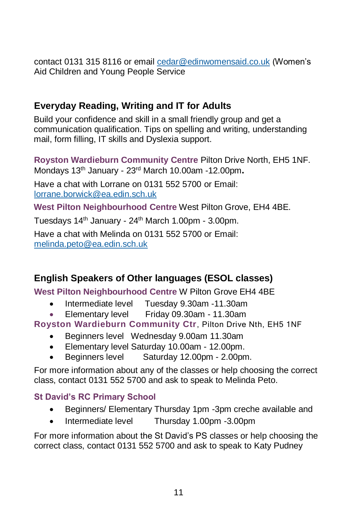contact 0131 315 8116 or email [cedar@edinwomensaid.co.uk](mailto:cedar@edinwomensaid.co.uk) (Women's Aid Children and Young People Service

### **Everyday Reading, Writing and IT for Adults**

Build your confidence and skill in a small friendly group and get a communication qualification. Tips on spelling and writing, understanding mail, form filling, IT skills and Dyslexia support.

**Royston Wardieburn Community Centre** Pilton Drive North, EH5 1NF. Mondays 13th January - 23rd March 10.00am -12.00pm**.** 

Have a chat with Lorrane on 0131 552 5700 or Email: [lorrane.borwick@ea.edin.sch.uk](mailto:lorrane.borwick@ea.edin.sch.uk)

**West Pilton Neighbourhood Centre** West Pilton Grove, EH4 4BE.

Tuesdays 14<sup>th</sup> January - 24<sup>th</sup> March 1.00pm - 3.00pm.

Have a chat with Melinda on 0131 552 5700 or Email: [melinda.peto@ea.edin.sch.uk](mailto:melinda.peto@ea.edin.sch.uk)

## **English Speakers of Other languages (ESOL classes)**

**West Pilton Neighbourhood Centre** W Pilton Grove EH4 4BE

- Intermediate level Tuesday 9.30am -11.30am
- Elementary level Friday 09.30am 11.30am

#### **Royston Wardieburn Community Ctr**, Pilton Drive Nth, EH5 1NF

- Beginners level Wednesday 9.00am 11.30am
- Elementary level Saturday 10.00am 12.00pm.
- Beginners level Saturday 12.00pm 2.00pm.

For more information about any of the classes or help choosing the correct class, contact 0131 552 5700 and ask to speak to Melinda Peto.

#### **St David's RC Primary School**

- Beginners/ Elementary Thursday 1pm -3pm creche available and
- Intermediate level Thursday 1.00pm -3.00pm

For more information about the St David's PS classes or help choosing the correct class, contact 0131 552 5700 and ask to speak to Katy Pudney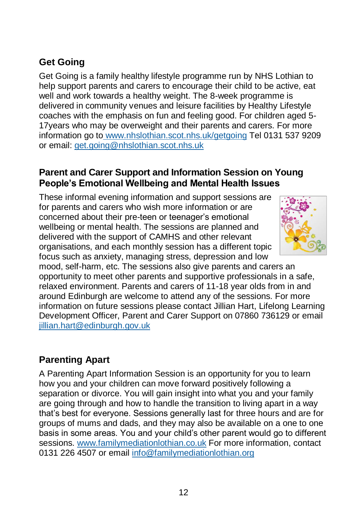## **Get Going**

Get Going is a family healthy lifestyle programme run by NHS Lothian to help support parents and carers to encourage their child to be active, eat well and work towards a healthy weight. The 8-week programme is delivered in community venues and leisure facilities by Healthy Lifestyle coaches with the emphasis on fun and feeling good. For children aged 5- 17years who may be overweight and their parents and carers. For more information go to [www.nhslothian.scot.nhs.uk/getgoing](http://www.nhslothian.scot.nhs.uk/getgoing/) Tel 0131 537 9209 or email: [get.going@nhslothian.scot.nhs.uk](mailto:get.going@nhslothian.scot.nhs.uk)

#### **Parent and Carer Support and Information Session on Young People's Emotional Wellbeing and Mental Health Issues**

These informal evening information and support sessions are for parents and carers who wish more information or are concerned about their pre-teen or teenager's emotional wellbeing or mental health. The sessions are planned and delivered with the support of CAMHS and other relevant organisations, and each monthly session has a different topic focus such as anxiety, managing stress, depression and low



mood, self-harm, etc. The sessions also give parents and carers an opportunity to meet other parents and supportive professionals in a safe, relaxed environment. Parents and carers of 11-18 year olds from in and around Edinburgh are welcome to attend any of the sessions. For more information on future sessions please contact Jillian Hart, Lifelong Learning Development Officer, Parent and Carer Support on 07860 736129 or email [jillian.hart@edinburgh.gov.uk](mailto:jillian.hart@edinburgh.gov.uk)

### **Parenting Apart**

A Parenting Apart Information Session is an opportunity for you to learn how you and your children can move forward positively following a separation or divorce. You will gain insight into what you and your family are going through and how to handle the transition to living apart in a way that's best for everyone. Sessions generally last for three hours and are for groups of mums and dads, and they may also be available on a one to one basis in some areas. You and your child's other parent would go to different sessions. [www.familymediationlothian.co.uk](http://www.familymediationlothian.co.uk/) For more information, contact 0131 226 4507 or email [info@familymediationlothian.org](mailto:info@familymediationlothian.orgg)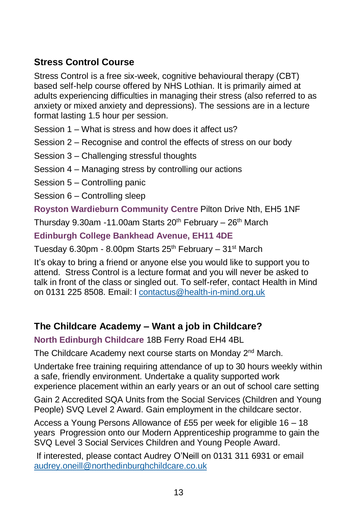## **Stress Control Course**

Stress Control is a free six-week, cognitive behavioural therapy (CBT) based self-help course offered by NHS Lothian. It is primarily aimed at adults experiencing difficulties in managing their stress (also referred to as anxiety or mixed anxiety and depressions). The sessions are in a lecture format lasting 1.5 hour per session.

Session 1 – What is stress and how does it affect us?

Session 2 – Recognise and control the effects of stress on our body

#### Session 3 – Challenging stressful thoughts

Session 4 – Managing stress by controlling our actions

Session 5 – Controlling panic

Session 6 – Controlling sleep

**Royston Wardieburn Community Centre** Pilton Drive Nth, EH5 1NF

Thursday 9.30am -11.00am Starts  $20<sup>th</sup>$  February –  $26<sup>th</sup>$  March

**Edinburgh College Bankhead Avenue, EH11 4DE** 

Tuesday 6.30pm - 8.00pm Starts  $25<sup>th</sup>$  February – 31<sup>st</sup> March

It's okay to bring a friend or anyone else you would like to support you to attend. Stress Control is a lecture format and you will never be asked to talk in front of the class or singled out. To self-refer, contact Health in Mind on 0131 225 8508. Email: l [contactus@health-in-mind.org.uk](mailto:contactus@health-in-mind.org.uk)

### **The Childcare Academy – Want a job in Childcare?**

**North Edinburgh Childcare** 18B Ferry Road EH4 4BL

The Childcare Academy next course starts on Monday 2<sup>nd</sup> March.

Undertake free training requiring attendance of up to 30 hours weekly within a safe, friendly environment. Undertake a quality supported work experience placement within an early years or an out of school care setting

Gain 2 Accredited SQA Units from the Social Services (Children and Young People) SVQ Level 2 Award. Gain employment in the childcare sector.

Access a Young Persons Allowance of £55 per week for eligible 16 – 18 years Progression onto our Modern Apprenticeship programme to gain the SVQ Level 3 Social Services Children and Young People Award.

If interested, please contact Audrey O'Neill on 0131 311 6931 or email [audrey.oneill@northedinburghchildcare.co.uk](mailto:audrey.oneill@northedinburghchildcare.co.uk)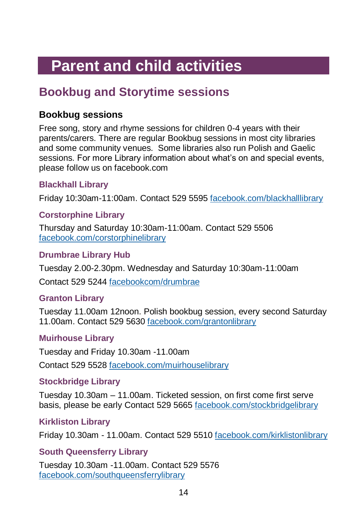# <span id="page-13-0"></span>**Parent and child activities**

## <span id="page-13-1"></span>**Bookbug and Storytime sessions**

### **Bookbug sessions**

Free song, story and rhyme sessions for children 0-4 years with their parents/carers. There are regular Bookbug sessions in most city libraries and some community venues. Some libraries also run Polish and Gaelic sessions. For more Library information about what's on and special events, please follow us on facebook.com

#### **Blackhall Library**

Friday 10:30am-11:00am. Contact 529 5595 facebook.com/blackhalllibrary

#### **Corstorphine Library**

Thursday and Saturday 10:30am-11:00am. Contact 529 5506 facebook.com/corstorphinelibrary

#### **Drumbrae Library Hub**

Tuesday 2.00-2.30pm. Wednesday and Saturday 10:30am-11:00am

Contact 529 5244 facebookcom/drumbrae

#### **Granton Library**

Tuesday 11.00am 12noon. Polish bookbug session, every second Saturday 11.00am. Contact 529 5630 facebook.com/grantonlibrary

#### **Muirhouse Library**

Tuesday and Friday 10.30am -11.00am

Contact 529 5528 facebook.com/muirhouselibrary

#### **Stockbridge Library**

Tuesday 10.30am – 11.00am. Ticketed session, on first come first serve basis, please be early Contact 529 5665 facebook.com/stockbridgelibrary

#### **Kirkliston Library**

Friday 10.30am - 11.00am. Contact 529 5510 facebook.com/kirklistonlibrary

#### **South Queensferry Library**

Tuesday 10.30am -11.00am. Contact 529 5576 facebook.com/southqueensferrylibrary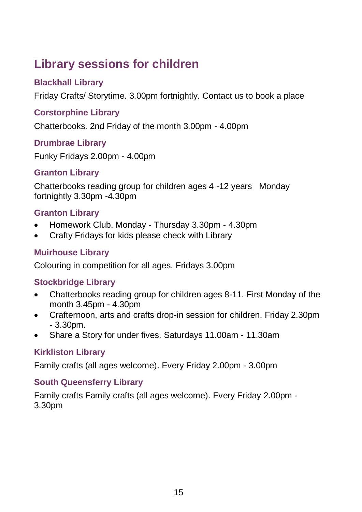## <span id="page-14-0"></span>**Library sessions for children**

#### **Blackhall Library**

Friday Crafts/ Storytime. 3.00pm fortnightly. Contact us to book a place

#### **Corstorphine Library**

Chatterbooks. 2nd Friday of the month 3.00pm - 4.00pm

#### **Drumbrae Library**

Funky Fridays 2.00pm - 4.00pm

#### **Granton Library**

Chatterbooks reading group for children ages 4 -12 years Monday fortnightly 3.30pm -4.30pm

#### **Granton Library**

- Homework Club. Monday Thursday 3.30pm 4.30pm
- Crafty Fridays for kids please check with Library

#### **Muirhouse Library**

Colouring in competition for all ages. Fridays 3.00pm

#### **Stockbridge Library**

- Chatterbooks reading group for children ages 8-11. First Monday of the month 3.45pm - 4.30pm
- Crafternoon, arts and crafts drop-in session for children. Friday 2.30pm  $-3.30$ pm.
- Share a Story for under fives. Saturdays 11.00am 11.30am

#### **Kirkliston Library**

Family crafts (all ages welcome). Every Friday 2.00pm - 3.00pm

#### **South Queensferry Library**

Family crafts Family crafts (all ages welcome). Every Friday 2.00pm - 3.30pm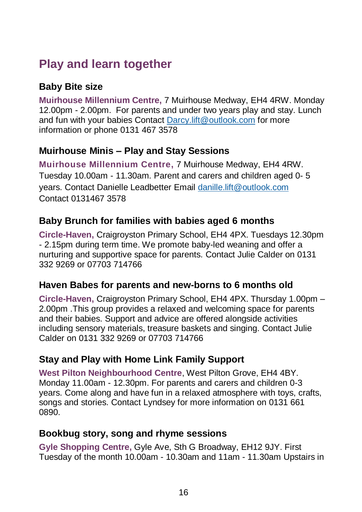## <span id="page-15-0"></span>**Play and learn together**

## **Baby Bite size**

**Muirhouse Millennium Centre,** 7 Muirhouse Medway, EH4 4RW. Monday 12.00pm - 2.00pm. For parents and under two years play and stay. Lunch and fun with your babies Contact [Darcy.lift@outlook.com](mailto:Darcy.lift@outlook.com) for more information or phone 0131 467 3578

#### **Muirhouse Minis – Play and Stay Sessions**

**Muirhouse Millennium Centre,** 7 Muirhouse Medway, EH4 4RW. Tuesday 10.00am - 11.30am. Parent and carers and children aged 0- 5 years. Contact Danielle Leadbetter Email [danille.lift@outlook.com](mailto:danille.lift@outlook.com) Contact 0131467 3578

#### **Baby Brunch for families with babies aged 6 months**

**Circle-Haven,** Craigroyston Primary School, EH4 4PX. Tuesdays 12.30pm - 2.15pm during term time. We promote baby-led weaning and offer a nurturing and supportive space for parents. Contact Julie Calder on 0131 332 9269 or 07703 714766

### **Haven Babes for parents and new-borns to 6 months old**

**Circle-Haven,** Craigroyston Primary School, EH4 4PX. Thursday 1.00pm – 2.00pm .This group provides a relaxed and welcoming space for parents and their babies. Support and advice are offered alongside activities including sensory materials, treasure baskets and singing. Contact Julie Calder on 0131 332 9269 or 07703 714766

### **Stay and Play with Home Link Family Support**

**West Pilton Neighbourhood Centre**, West Pilton Grove, EH4 4BY. Monday 11.00am - 12.30pm. For parents and carers and children 0-3 years. Come along and have fun in a relaxed atmosphere with toys, crafts, songs and stories. Contact Lyndsey for more information on 0131 661 0890.

#### **Bookbug story, song and rhyme sessions**

**Gyle Shopping Centre,** Gyle Ave, Sth G Broadway, EH12 9JY. First Tuesday of the month 10.00am - 10.30am and 11am - 11.30am Upstairs in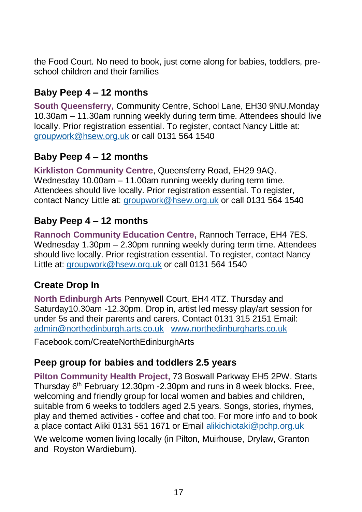the Food Court. No need to book, just come along for babies, toddlers, preschool children and their families

#### **Baby Peep 4 – 12 months**

**South Queensferry,** Community Centre, School Lane, EH30 9NU.Monday 10.30am – 11.30am running weekly during term time. Attendees should live locally. Prior registration essential. To register, contact Nancy Little at: [groupwork@hsew.org.uk](mailto:groupwork@hsew.org.uk) or call 0131 564 1540

#### **Baby Peep 4 – 12 months**

**Kirkliston Community Centre**, Queensferry Road, EH29 9AQ. Wednesday 10.00am – 11.00am running weekly during term time. Attendees should live locally. Prior registration essential. To register, contact Nancy Little at: [groupwork@hsew.org.uk](mailto:groupwork@hsew.org.uk) or call 0131 564 1540

#### **Baby Peep 4 – 12 months**

**Rannoch Community Education Centre,** Rannoch Terrace, EH4 7ES. Wednesday 1.30pm – 2.30pm running weekly during term time. Attendees should live locally. Prior registration essential. To register, contact Nancy Little at: [groupwork@hsew.org.uk](mailto:groupwork@hsew.org.uk) or call 0131 564 1540

### **Create Drop In**

**North Edinburgh Arts** Pennywell Court, EH4 4TZ. Thursday and Saturday10.30am -12.30pm. Drop in, artist led messy play/art session for under 5s and their parents and carers. Contact 0131 315 2151 Email: [admin@northedinburgh.arts.co.uk](mailto:admin@northedinburgh.arts.co.uk) [www.northedinburgharts.co.uk](http://www.northedinburgharts.co.uk/)

Facebook.com/CreateNorthEdinburghArts

#### **Peep group for babies and toddlers 2.5 years**

**Pilton Community Health Project,** 73 Boswall Parkway EH5 2PW. Starts Thursday 6th February 12.30pm -2.30pm and runs in 8 week blocks. Free, welcoming and friendly group for local women and babies and children. suitable from 6 weeks to toddlers aged 2.5 years. Songs, stories, rhymes, play and themed activities - coffee and chat too. For more info and to book a place contact Aliki 0131 551 1671 or Email [alikichiotaki@pchp.org.uk](mailto:alikichiotaki@pchp.org.uk.guk)

We welcome women living locally (in Pilton, Muirhouse, Drylaw, Granton and Royston Wardieburn).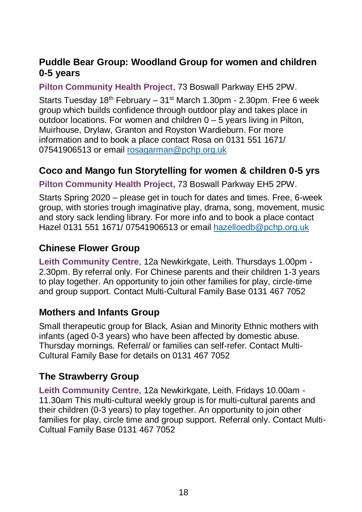### **Puddle Bear Group: Woodland Group for women and children 0-5 years**

**Pilton Community Health Project**, 73 Boswall Parkway EH5 2PW.

Starts Tuesday  $18<sup>th</sup>$  February –  $31<sup>st</sup>$  March 1.30pm - 2.30pm. Free 6 week group which builds confidence through outdoor play and takes place in outdoor locations. For women and children 0 – 5 years living in Pilton, Muirhouse, Drylaw, Granton and Royston Wardieburn. For more information and to book a place contact Rosa on 0131 551 1671/ 07541906513 or emai[l rosagarman@pchp.org.uk](mailto:rosagarman@pchp.org.uk)

### **Coco and Mango fun Storytelling for women & children 0-5 yrs**

**Pilton Community Health Project,** 73 Boswall Parkway EH5 2PW.

Starts Spring 2020 – please get in touch for dates and times. Free, 6-week group, with stories trough imaginative play, drama, song, movement, music and story sack lending library. For more info and to book a place contact Hazel 0131 551 1671/ 07541906513 or email [hazelloedb@pchp.org.uk](mailto:hazelloedb@pchp.org.uk)

## **Chinese Flower Group**

**Leith Community Centre**, 12a Newkirkgate, Leith. Thursdays 1.00pm - 2.30pm. By referral only. For Chinese parents and their children 1-3 years to play together. An opportunity to join other families for play, circle-time and group support. Contact Multi-Cultural Family Base 0131 467 7052

### **Mothers and Infants Group**

Small therapeutic group for Black, Asian and Minority Ethnic mothers with infants (aged 0-3 years) who have been affected by domestic abuse. Thursday mornings. Referral/ or families can self-refer. Contact Multi-Cultural Family Base for details on 0131 467 7052

## **The Strawberry Group**

<span id="page-17-0"></span>**Leith Community Centre**, 12a Newkirkgate, Leith. Fridays 10.00am - 11.30am This multi-cultural weekly group is for multi-cultural parents and their children (0-3 years) to play together. An opportunity to join other families for play, circle time and group support. Referral only. Contact Multi-Cultual Family Base 0131 467 7052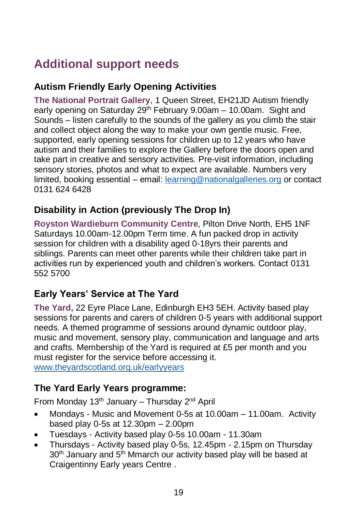## **Additional support needs**

## **Autism Friendly Early Opening Activities**

**The National Portrait Gallery**, 1 Queen Street, EH21JD Autism friendly early opening on Saturday 29<sup>th</sup> February 9.00am – 10.00am. Sight and Sounds – listen carefully to the sounds of the gallery as you climb the stair and collect object along the way to make your own gentle music. Free, supported, early opening sessions for children up to 12 years who have autism and their families to explore the Gallery before the doors open and take part in creative and sensory activities. Pre-visit information, including sensory stories, photos and what to expect are available. Numbers very limited, booking essential – email: [learning@nationalgalleries.org](mailto:learning@nationalgalleries.org) or contact 0131 624 6428

## **Disability in Action (previously The Drop In)**

**Royston Wardieburn Community Centre**, Pilton Drive North, EH5 1NF Saturdays 10.00am-12.00pm Term time. A fun packed drop in activity session for children with a disability aged 0-18yrs their parents and siblings. Parents can meet other parents while their children take part in activities run by experienced youth and children's workers. Contact 0131 552 5700

### **Early Years' Service at The Yard**

**The Yard,** 22 Eyre Place Lane, Edinburgh EH3 5EH. Activity based play sessions for parents and carers of children 0-5 years with additional support needs. A themed programme of sessions around dynamic outdoor play, music and movement, sensory play, communication and language and arts and crafts. Membership of the Yard is required at £5 per month and you must register for the service before accessing it. [www.theyardscotland.org.uk/earlyyears](http://www.theyardscotland.org.uk/earlyyears)

### **The Yard Early Years programme:**

From Monday  $13<sup>th</sup>$  January – Thursday  $2<sup>nd</sup>$  April

- Mondays Music and Movement 0-5s at 10.00am 11.00am. Activity based play 0-5s at 12.30pm – 2.00pm
- Tuesdays Activity based play 0-5s 10.00am 11.30am
- Thursdays Activity based play 0-5s, 12.45pm 2.15pm on Thursday 30<sup>th</sup> January and 5<sup>th</sup> Mmarch our activity based play will be based at Craigentinny Early years Centre .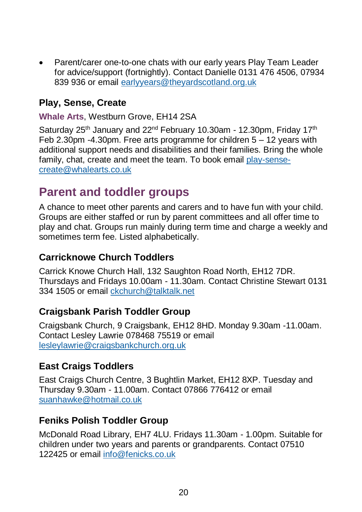• Parent/carer one-to-one chats with our early years Play Team Leader for advice/support (fortnightly). Contact Danielle 0131 476 4506, 07934 839 936 or email [earlyyears@theyardscotland.org.uk](mailto:earlyyears@theyardscotland.org.uk)

#### **Play, Sense, Create**

**Whale Arts**, Westburn Grove, EH14 2SA

Saturday 25<sup>th</sup> January and 22<sup>nd</sup> February 10.30am - 12.30pm, Friday 17<sup>th</sup> Feb 2.30pm  $-4.30$ pm. Free arts programme for children  $5 - 12$  years with additional support needs and disabilities and their families. Bring the whole family, chat, create and meet the team. To book email [play-sense](mailto:play-sense-create@whalearts.co.uk)[create@whalearts.co.uk](mailto:play-sense-create@whalearts.co.uk)

## <span id="page-19-0"></span>**Parent and toddler groups**

A chance to meet other parents and carers and to have fun with your child. Groups are either staffed or run by parent committees and all offer time to play and chat. Groups run mainly during term time and charge a weekly and sometimes term fee. Listed alphabetically.

#### **Carricknowe Church Toddlers**

Carrick Knowe Church Hall, 132 Saughton Road North, EH12 7DR. Thursdays and Fridays 10.00am - 11.30am. Contact Christine Stewart 0131 334 1505 or email [ckchurch@talktalk.net](mailto:ckchurch@talktalk.net)

#### **Craigsbank Parish Toddler Group**

Craigsbank Church, 9 Craigsbank, EH12 8HD. Monday 9.30am -11.00am. Contact Lesley Lawrie 078468 75519 or email [lesleylawrie@craigsbankchurch.org.uk](mailto:lesleylawrie@craigsbankchurch.org.uk)

### **East Craigs Toddlers**

East Craigs Church Centre, 3 Bughtlin Market, EH12 8XP. Tuesday and Thursday 9.30am - 11.00am. Contact 07866 776412 or email [suanhawke@hotmail.co.uk](mailto:suanhawke@hotmail.co.uk) 

#### **Feniks Polish Toddler Group**

McDonald Road Library, EH7 4LU. Fridays 11.30am - 1.00pm. Suitable for children under two years and parents or grandparents. Contact 07510 122425 or email [info@fenicks.co.uk](mailto:info@fenicks.co.uk)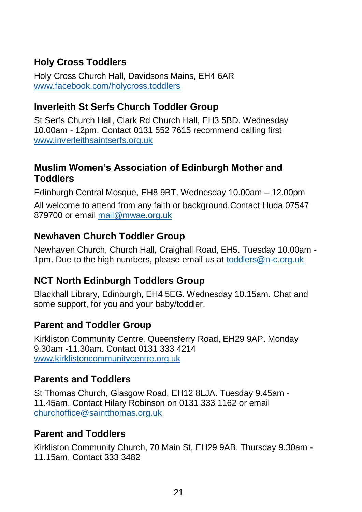## **Holy Cross Toddlers**

Holy Cross Church Hall, Davidsons Mains, EH4 6AR [www.facebook.com/holycross.toddlers](http://www.facebook.com/holycross.toddlers)

### **Inverleith St Serfs Church Toddler Group**

St Serfs Church Hall, Clark Rd Church Hall, EH3 5BD. Wednesday 10.00am - 12pm. Contact 0131 552 7615 recommend calling first [www.inverleithsaintserfs.org.uk](http://www.inverleithsaintserfs.org.uk/)

### **Muslim Women's Association of Edinburgh Mother and Toddlers**

Edinburgh Central Mosque, EH8 9BT. Wednesday 10.00am – 12.00pm All welcome to attend from any faith or background.Contact Huda 07547 879700 or email [mail@mwae.org.uk](mailto:mail@mwae.org.uk)

#### **Newhaven Church Toddler Group**

Newhaven Church, Church Hall, Craighall Road, EH5. Tuesday 10.00am - 1pm. Due to the high numbers, please email us at [toddlers@n-c.org.uk](mailto:toddlers@n-c.org.uk) 

### **NCT North Edinburgh Toddlers Group**

Blackhall Library, Edinburgh, EH4 5EG. Wednesday 10.15am. Chat and some support, for you and your baby/toddler.

#### **Parent and Toddler Group**

Kirkliston Community Centre, Queensferry Road, EH29 9AP. Monday 9.30am -11.30am. Contact 0131 333 4214 [www.kirklistoncommunitycentre.org.uk](http://www.kirklistoncommunitycentre.org.uk/)

### **Parents and Toddlers**

St Thomas Church, Glasgow Road, EH12 8LJA. Tuesday 9.45am - 11.45am. Contact Hilary Robinson on 0131 333 1162 or email [churchoffice@saintthomas.org.uk](mailto:churchoffice@saintthomas.org.uk)

#### **Parent and Toddlers**

Kirkliston Community Church, 70 Main St, EH29 9AB. Thursday 9.30am - 11.15am. Contact 333 3482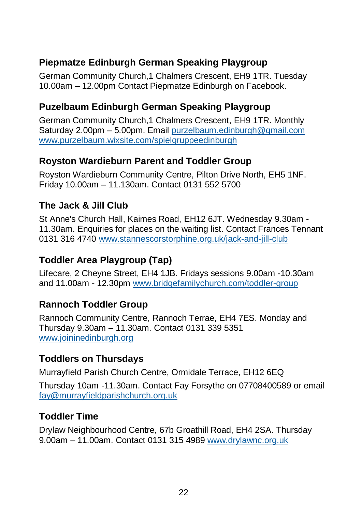## **Piepmatze Edinburgh German Speaking Playgroup**

German Community Church,1 Chalmers Crescent, EH9 1TR. Tuesday 10.00am – 12.00pm Contact Piepmatze Edinburgh on Facebook.

## **Puzelbaum Edinburgh German Speaking Playgroup**

German Community Church,1 Chalmers Crescent, EH9 1TR. Monthly Saturday 2.00pm – 5.00pm. Email [purzelbaum.edinburgh@gmail.com](mailto:purzelbaum.edinburgh@gmail.com) [www.purzelbaum.wixsite.com/spielgruppeedinburgh](http://www.purzelbaum.wixsite.com/spielgruppeedinburgh)

#### **Royston Wardieburn Parent and Toddler Group**

Royston Wardieburn Community Centre, Pilton Drive North, EH5 1NF. Friday 10.00am – 11.130am. Contact 0131 552 5700

### **The Jack & Jill Club**

St Anne's Church Hall, Kaimes Road, EH12 6JT. Wednesday 9.30am - 11.30am. Enquiries for places on the waiting list. Contact Frances Tennant 0131 316 4740 [www.stannescorstorphine.org.uk/jack-and-jill-club](http://www.stannescorstorphine.org.uk/jack-and-jill-club)

### **Toddler Area Playgroup (Tap)**

Lifecare, 2 Cheyne Street, EH4 1JB. Fridays sessions 9.00am -10.30am and 11.00am - 12.30pm [www.bridgefamilychurch.com/toddler-group](http://www.bridgefamilychurch.com/toddler-group)

### **Rannoch Toddler Group**

Rannoch Community Centre, Rannoch Terrae, EH4 7ES. Monday and Thursday 9.30am – 11.30am. Contact 0131 339 5351 [www.joininedinburgh.org](http://www.joininedinburgh.org/)

### **Toddlers on Thursdays**

Murrayfield Parish Church Centre, Ormidale Terrace, EH12 6EQ

Thursday 10am -11.30am. Contact Fay Forsythe on 07708400589 or email [fay@murrayfieldparishchurch.org.uk](mailto:fay@murrayfieldparishchurch.org.uk)

### **Toddler Time**

Drylaw Neighbourhood Centre, 67b Groathill Road, EH4 2SA. Thursday 9.00am – 11.00am. Contact 0131 315 4989 [www.drylawnc.org.uk](http://www.drylawnc.org.uk/)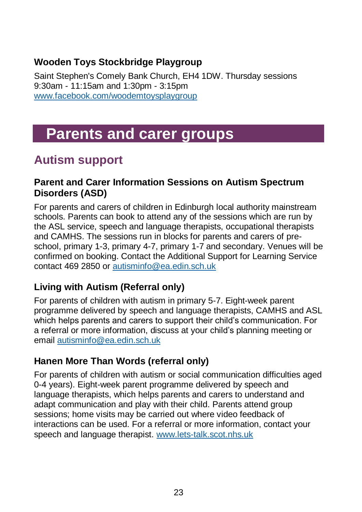## **Wooden Toys Stockbridge Playgroup**

Saint Stephen's Comely Bank Church, EH4 1DW. Thursday sessions 9:30am - 11:15am and 1:30pm - 3:15pm [www.facebook.com/woodemtoysplaygroup](http://www.facebook.com/woodemtoysplaygroup)

# <span id="page-22-0"></span>**Parents and carer groups**

## <span id="page-22-1"></span>**Autism support**

#### **Parent and Carer Information Sessions on Autism Spectrum Disorders (ASD)**

For parents and carers of children in Edinburgh local authority mainstream schools. Parents can book to attend any of the sessions which are run by the ASL service, speech and language therapists, occupational therapists and CAMHS. The sessions run in blocks for parents and carers of preschool, primary 1-3, primary 4-7, primary 1-7 and secondary. Venues will be confirmed on booking. Contact the Additional Support for Learning Service contact 469 2850 or [autisminfo@ea.edin.sch.uk](mailto:autisminfo@ea.edin.sch.uk)

### **Living with Autism (Referral only)**

For parents of children with autism in primary 5-7. Eight-week parent programme delivered by speech and language therapists, CAMHS and ASL which helps parents and carers to support their child's communication. For a referral or more information, discuss at your child's planning meeting or email [autisminfo@ea.edin.sch.uk](mailto:autisminfo@ea.edin.sch.uk)

## **Hanen More Than Words (referral only)**

For parents of children with autism or social communication difficulties aged 0-4 years). Eight-week parent programme delivered by speech and language therapists, which helps parents and carers to understand and adapt communication and play with their child. Parents attend group sessions; home visits may be carried out where video feedback of interactions can be used. For a referral or more information, contact your speech and language therapist. [www.lets-talk.scot.nhs.uk](http://www.lets-talk.scot.nhs.uk/)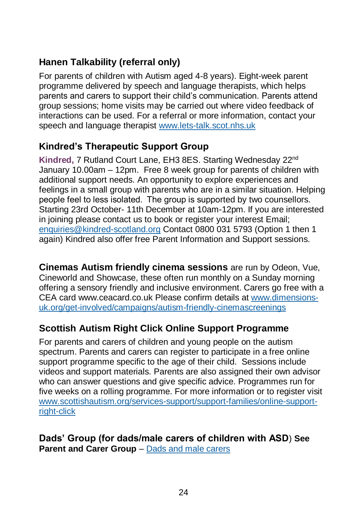## **Hanen Talkability (referral only)**

For parents of children with Autism aged 4-8 years). Eight-week parent programme delivered by speech and language therapists, which helps parents and carers to support their child's communication. Parents attend group sessions; home visits may be carried out where video feedback of interactions can be used. For a referral or more information, contact your speech and language therapist [www.lets-talk.scot.nhs.uk](http://www.lets-talk.scot.nhs.uk/)

## **Kindred's Therapeutic Support Group**

**Kindred,** 7 Rutland Court Lane, EH3 8ES. Starting Wednesday 22nd January 10.00am – 12pm. Free 8 week group for parents of children with additional support needs. An opportunity to explore experiences and feelings in a small group with parents who are in a similar situation. Helping people feel to less isolated.  The group is supported by two counsellors. Starting 23rd October- 11th December at 10am-12pm. If you are interested in joining please contact us to book or register your interest Email; [enquiries@kindred-scotland.org](mailto:enquiries@kindred-scotland.org) Contact 0800 031 5793 (Option 1 then 1 again) Kindred also offer free Parent Information and Support sessions.

**Cinemas Autism friendly cinema sessions** are run by Odeon, Vue, Cineworld and Showcase, these often run monthly on a Sunday morning offering a sensory friendly and inclusive environment. Carers go free with a CEA card [www.ceacard.co.uk](http://www.ceacard.co.uk/) Please confirm details at [www.dimensions](http://www.dimensions-uk.org/get-involved/campaigns/autism-friendly-cinemascreenings)[uk.org/get-involved/campaigns/autism-friendly-cinemascreenings](http://www.dimensions-uk.org/get-involved/campaigns/autism-friendly-cinemascreenings)

## **Scottish Autism Right Click Online Support Programme**

For parents and carers of children and young people on the autism spectrum. Parents and carers can register to participate in a free online support programme specific to the age of their child. Sessions include videos and support materials. Parents are also assigned their own advisor who can answer questions and give specific advice. Programmes run for five weeks on a rolling programme. For more information or to register visit [www.scottishautism.org/services-support/support-families/online-support](http://www.scottishautism.org/services-support/support-families/online-support-right-click)[right-click](http://www.scottishautism.org/services-support/support-families/online-support-right-click)

**Dads' Group (for dads/male carers of children with ASD**) **See Parent and Carer Group – [Dads and male carers](#page-24-1)**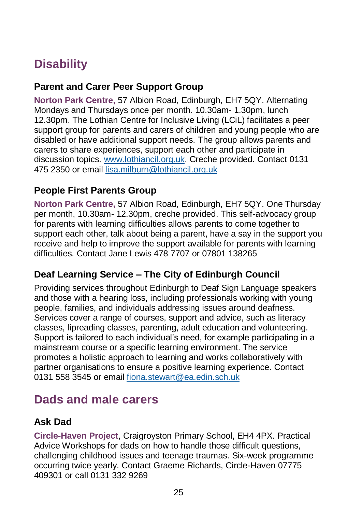## <span id="page-24-0"></span>**Disability**

#### **Parent and Carer Peer Support Group**

**Norton Park Centre,** 57 Albion Road, Edinburgh, EH7 5QY. Alternating Mondays and Thursdays once per month. 10.30am- 1.30pm, lunch 12.30pm. The Lothian Centre for Inclusive Living (LCiL) facilitates a peer support group for parents and carers of children and young people who are disabled or have additional support needs. The group allows parents and carers to share experiences, support each other and participate in discussion topics. [www.lothiancil.org.uk.](http://www.lothiancil.org.uk/) Creche provided. Contact 0131 475 2350 or email [lisa.milburn@lothiancil.org.uk](mailto:lisa.milburn@lothiancil.org.uk)

#### **People First Parents Group**

**Norton Park Centre,** 57 Albion Road, Edinburgh, EH7 5QY. One Thursday per month, 10.30am- 12.30pm, creche provided. This self-advocacy group for parents with learning difficulties allows parents to come together to support each other, talk about being a parent, have a say in the support you receive and help to improve the support available for parents with learning difficulties. Contact Jane Lewis 478 7707 or 07801 138265

### **Deaf Learning Service – The City of Edinburgh Council**

Providing services throughout Edinburgh to Deaf Sign Language speakers and those with a hearing loss, including professionals working with young people, families, and individuals addressing issues around deafness. Services cover a range of courses, support and advice, such as literacy classes, lipreading classes, parenting, adult education and volunteering. Support is tailored to each individual's need, for example participating in a mainstream course or a specific learning environment. The service promotes a holistic approach to learning and works collaboratively with partner organisations to ensure a positive learning experience. Contact 0131 558 3545 or email [fiona.stewart@ea.edin.sch.uk](mailto:fiona.stewart@ea.edin.sch.uk)

## <span id="page-24-1"></span>**Dads and male carers**

#### **Ask Dad**

**Circle-Haven Project**, Craigroyston Primary School, EH4 4PX. Practical Advice Workshops for dads on how to handle those difficult questions, challenging childhood issues and teenage traumas. Six-week programme occurring twice yearly. Contact Graeme Richards, Circle-Haven 07775 409301 or call 0131 332 9269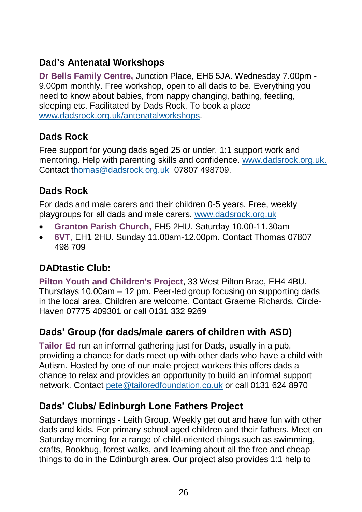## **Dad's Antenatal Workshops**

**Dr Bells Family Centre,** Junction Place, EH6 5JA. Wednesday 7.00pm - 9.00pm monthly. Free workshop, open to all dads to be. Everything you need to know about babies, from nappy changing, bathing, feeding, sleeping etc. Facilitated by Dads Rock. To book a place [www.dadsrock.org.uk/antenatalworkshops.](https://www.dadsrock.org.uk/antenatalworkshops)

## **Dads Rock**

Free support for young dads aged 25 or under. 1:1 support work and mentoring. Help with parenting skills and confidence. [www.dadsrock.org.uk.](http://www.dadsrock.org.uk/) Contact [thomas@dadsrock.org.uk](mailto:thomas@dadsrock.org.uk) 07807 498709.

## **Dads Rock**

For dads and male carers and their children 0-5 years. Free, weekly playgroups for all dads and male carers. [www.dadsrock.org.uk](http://www.dadsrock.org.uk/)

- **Granton Parish Church,** EH5 2HU. Saturday 10.00-11.30am
- **6VT,** EH1 2HU. Sunday 11.00am-12.00pm. Contact Thomas 07807 498 709

## **DADtastic Club:**

**Pilton Youth and Children's Project**, 33 West Pilton Brae, EH4 4BU. Thursdays 10.00am – 12 pm. Peer-led group focusing on supporting dads in the local area. Children are welcome. Contact Graeme Richards, Circle-Haven 07775 409301 or call 0131 332 9269

## **Dads' Group (for dads/male carers of children with ASD)**

**Tailor Ed** run an informal gathering just for Dads, usually in a pub, providing a chance for dads meet up with other dads who have a child with Autism. Hosted by one of our male project workers this offers dads a chance to relax and provides an opportunity to build an informal support network. Contact [pete@tailoredfoundation.co.uk](mailto:pete@tailoredfoundation.co.uk) or call 0131 624 8970

### **Dads' Clubs/ Edinburgh Lone Fathers Project**

Saturdays mornings - Leith Group. Weekly get out and have fun with other dads and kids. For primary school aged children and their fathers. Meet on Saturday morning for a range of child-oriented things such as swimming, crafts, Bookbug, forest walks, and learning about all the free and cheap things to do in the Edinburgh area. Our project also provides 1:1 help to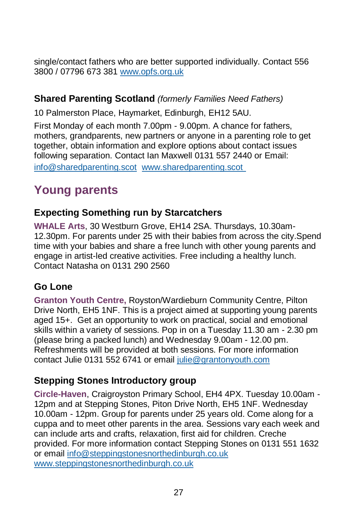single/contact fathers who are better supported individually. Contact 556 3800 / 07796 673 381 [www.opfs.org.uk](http://www.opfs.org.uk/)

#### **Shared Parenting Scotland** *(formerly Families Need Fathers)*

10 Palmerston Place, Haymarket, Edinburgh, EH12 5AU.

First Monday of each month 7.00pm - 9.00pm. A chance for fathers, mothers, grandparents, new partners or anyone in a parenting role to get together, obtain information and explore options about contact issues following separation. Contact Ian Maxwell 0131 557 2440 or Email: [info@sharedparenting.scot](mailto:info@sharedparenting.scot) [www.sharedparenting.scot](http://www.sharedparenting.scot/)

## <span id="page-26-0"></span>**Young parents**

#### **Expecting Something run by Starcatchers**

**WHALE Arts**, 30 Westburn Grove, EH14 2SA. Thursdays, 10.30am-12.30pm. For parents under 25 with their babies from across the city.Spend time with your babies and share a free lunch with other young parents and engage in artist-led creative activities. Free including a healthy lunch. Contact Natasha on 0131 290 2560

### **Go Lone**

**Granton Youth Centre,** Royston/Wardieburn Community Centre, Pilton Drive North, EH5 1NF. This is a project aimed at supporting young parents aged 15+. Get an opportunity to work on practical, social and emotional skills within a variety of sessions. Pop in on a Tuesday 11.30 am - 2.30 pm (please bring a packed lunch) and Wednesday 9.00am - 12.00 pm. Refreshments will be provided at both sessions. For more information contact Julie 0131 552 6741 or email [julie@grantonyouth.com](mailto:julie@grantonyouth.com)

#### **Stepping Stones Introductory group**

**Circle-Haven**, Craigroyston Primary School, EH4 4PX. Tuesday 10.00am - 12pm and at Stepping Stones, Piton Drive North, EH5 1NF. Wednesday 10.00am - 12pm. Group for parents under 25 years old. Come along for a cuppa and to meet other parents in the area. Sessions vary each week and can include arts and crafts, relaxation, first aid for children. Creche provided. For more information contact Stepping Stones on 0131 551 1632 or email [info@steppingstonesnorthedinburgh.co.uk](mailto:info@steppingstonesnorthedinburgh.co.uk) [www.steppingstonesnorthedinburgh.co.uk](http://www.steppingstonesnorthedinburgh.co.uk/)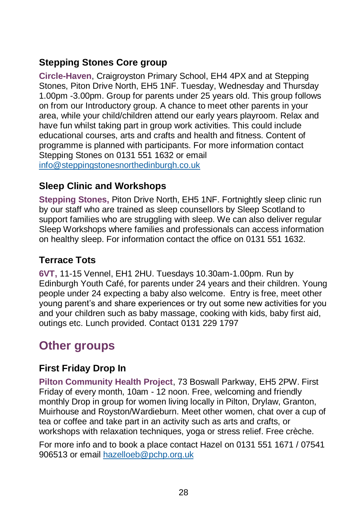## **Stepping Stones Core group**

**Circle-Haven**, Craigroyston Primary School, EH4 4PX and at Stepping Stones, Piton Drive North, EH5 1NF. Tuesday, Wednesday and Thursday 1.00pm -3.00pm. Group for parents under 25 years old. This group follows on from our Introductory group. A chance to meet other parents in your area, while your child/children attend our early years playroom. Relax and have fun whilst taking part in group work activities. This could include educational courses, arts and crafts and health and fitness. Content of programme is planned with participants. For more information contact Stepping Stones on 0131 551 1632 or email [info@steppingstonesnorthedinburgh.co.uk](mailto:info@steppingstonesnorthedinburgh.co.uk)

#### **Sleep Clinic and Workshops**

**Stepping Stones,** Piton Drive North, EH5 1NF. Fortnightly sleep clinic run by our staff who are trained as sleep counsellors by Sleep Scotland to support families who are struggling with sleep. We can also deliver regular Sleep Workshops where families and professionals can access information on healthy sleep. For information contact the office on 0131 551 1632.

#### **Terrace Tots**

**6VT,** 11-15 Vennel, EH1 2HU. Tuesdays 10.30am-1.00pm. Run by Edinburgh Youth Café, for parents under 24 years and their children. Young people under 24 expecting a baby also welcome. Entry is free, meet other young parent's and share experiences or try out some new activities for you and your children such as baby massage, cooking with kids, baby first aid, outings etc. Lunch provided. Contact 0131 229 1797

## <span id="page-27-0"></span>**Other groups**

#### **First Friday Drop In**

**Pilton Community Health Project**, 73 Boswall Parkway, EH5 2PW. First Friday of every month, 10am - 12 noon. Free, welcoming and friendly monthly Drop in group for women living locally in Pilton, Drylaw, Granton, Muirhouse and Royston/Wardieburn. Meet other women, chat over a cup of tea or coffee and take part in an activity such as arts and crafts, or workshops with relaxation techniques, yoga or stress relief. Free crèche.

For more info and to book a place contact Hazel on 0131 551 1671 / 07541 906513 or email [hazelloeb@pchp.org.uk](mailto:hazelloeb@pchp.org.uk)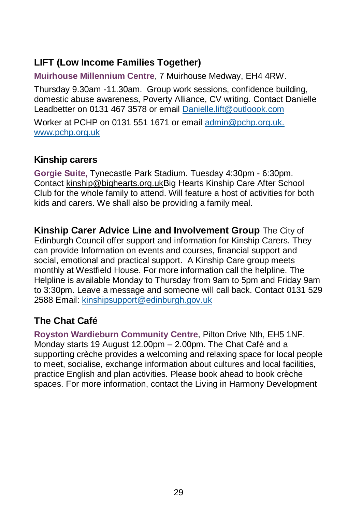## **LIFT (Low Income Families Together)**

**Muirhouse Millennium Centre**, 7 Muirhouse Medway, EH4 4RW.

Thursday 9.30am -11.30am. Group work sessions, confidence building, domestic abuse awareness, Poverty Alliance, CV writing. Contact Danielle Leadbetter on 0131 467 3578 or email [Danielle.lift@outloook.com](mailto:Danielle.lift@outloook.com)

Worker at PCHP on 0131 551 1671 or email [admin@pchp.org.uk.](mailto:admin@pchp.org.uk) [www.pchp.org.uk](http://www.pchp.org.uk/)

#### **Kinship carers**

**Gorgie Suite,** Tynecastle Park Stadium. Tuesday 4:30pm - 6:30pm. Contact [kinship@bighearts.org.ukB](mailto:kinship@bighearts.org.uk)ig Hearts Kinship Care After School Club for the whole family to attend. Will feature a host of activities for both kids and carers. We shall also be providing a family meal.

**Kinship Carer Advice Line and Involvement Group** The City of Edinburgh Council offer support and information for Kinship Carers. They can provide Information on events and courses, financial support and social, emotional and practical support. A Kinship Care group meets monthly at Westfield House. For more information call the helpline. The Helpline is available Monday to Thursday from 9am to 5pm and Friday 9am to 3:30pm. Leave a message and someone will call back. Contact 0131 529 2588 Email: [kinshipsupport@edinburgh.gov.uk](mailto:kinshipsupport@edinburgh.gov.uk)

## **The Chat Café**

**Royston Wardieburn Community Centre**, Pilton Drive Nth, EH5 1NF. Monday starts 19 August 12.00pm – 2.00pm. The Chat Café and a supporting crèche provides a welcoming and relaxing space for local people to meet, socialise, exchange information about cultures and local facilities, practice English and plan activities. Please book ahead to book crèche spaces. For more information, contact the Living in Harmony Development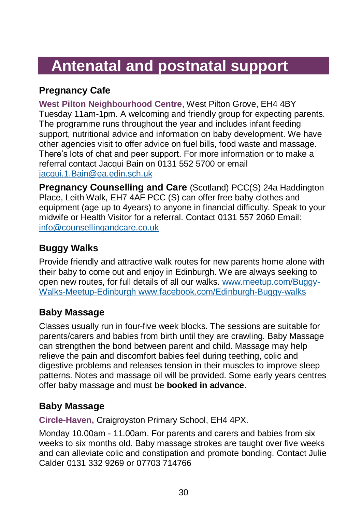# <span id="page-29-0"></span>**Antenatal and postnatal support**

## **Pregnancy Cafe**

**West Pilton Neighbourhood Centre**, West Pilton Grove, EH4 4BY Tuesday 11am-1pm. A welcoming and friendly group for expecting parents. The programme runs throughout the year and includes infant feeding support, nutritional advice and information on baby development. We have other agencies visit to offer advice on fuel bills, food waste and massage. There's lots of chat and peer support. For more information or to make a referral contact Jacqui Bain on 0131 552 5700 or email [jacqui.1.Bain@ea.edin.sch.uk](mailto:jacqui.1.Bain@ea.edin.sch.uk)

**Pregnancy Counselling and Care** (Scotland) PCC(S) 24a Haddington Place, Leith Walk, EH7 4AF PCC (S) can offer free baby clothes and equipment (age up to 4years) to anyone in financial difficulty. Speak to your midwife or Health Visitor for a referral. Contact 0131 557 2060 Email: [info@counsellingandcare.co.uk](mailto:info@counsellingandcare.co.uk)

## **Buggy Walks**

Provide friendly and attractive walk routes for new parents home alone with their baby to come out and enjoy in Edinburgh. We are always seeking to open new routes, for full details of all our walks. [www.meetup.com/Buggy-](http://www.meetup.com/Buggy-Walks-Meetup-Edinburgh/)[Walks-Meetup-Edinburgh](http://www.meetup.com/Buggy-Walks-Meetup-Edinburgh/) [www.facebook.com/Edinburgh-Buggy-walks](http://www.facebook.com/Edinburgh-Buggy-walks)

## **Baby Massage**

Classes usually run in four-five week blocks. The sessions are suitable for parents/carers and babies from birth until they are crawling. Baby Massage can strengthen the bond between parent and child. Massage may help relieve the pain and discomfort babies feel during teething, colic and digestive problems and releases tension in their muscles to improve sleep patterns. Notes and massage oil will be provided. Some early years centres offer baby massage and must be **booked in advance**.

### **Baby Massage**

**Circle-Haven,** Craigroyston Primary School, EH4 4PX.

Monday 10.00am - 11.00am. For parents and carers and babies from six weeks to six months old. Baby massage strokes are taught over five weeks and can alleviate colic and constipation and promote bonding. Contact Julie Calder 0131 332 9269 or 07703 714766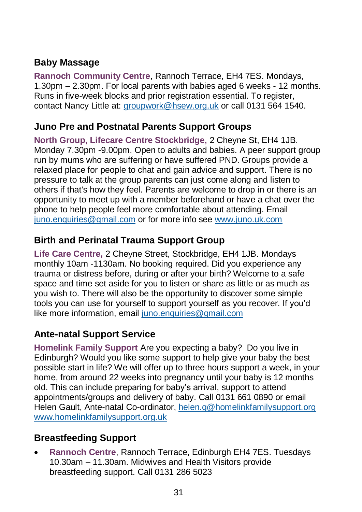## **Baby Massage**

**Rannoch Community Centre**, Rannoch Terrace, EH4 7ES. Mondays, 1.30pm – 2.30pm. For local parents with babies aged 6 weeks - 12 months. Runs in five-week blocks and prior registration essential. To register, contact Nancy Little at: [groupwork@hsew.org.uk](mailto:groupwork@hsew.org.uk) or call 0131 564 1540.

#### **Juno Pre and Postnatal Parents Support Groups**

**North Group, Lifecare Centre Stockbridge,** 2 Cheyne St, EH4 1JB. Monday 7.30pm -9.00pm. Open to adults and babies. A peer support group run by mums who are suffering or have suffered PND. Groups provide a relaxed place for people to chat and gain advice and support. There is no pressure to talk at the group parents can just come along and listen to others if that's how they feel. Parents are welcome to drop in or there is an opportunity to meet up with a member beforehand or have a chat over the phone to help people feel more comfortable about attending. Email [juno.enquiries@gmail.com](mailto:juno.enquiries@gmail.com) or for more info see [www.juno.uk.com](http://www.juno.uk.com/)

## **Birth and Perinatal Trauma Support Group**

**Life Care Centre,** 2 Cheyne Street, Stockbridge, EH4 1JB. Mondays monthly 10am -1130am. No booking required. Did you experience any trauma or distress before, during or after your birth? Welcome to a safe space and time set aside for you to listen or share as little or as much as you wish to. There will also be the opportunity to discover some simple tools you can use for yourself to support yourself as you recover. If you'd like more information, email [juno.enquiries@gmail.com](mailto:juno.enquiries@gmail.com)

### **Ante-natal Support Service**

**Homelink Family Support** Are you expecting a baby? Do you live in Edinburgh? Would you like some support to help give your baby the best possible start in life? We will offer up to three hours support a week, in your home, from around 22 weeks into pregnancy until your baby is 12 months old. This can include preparing for baby's arrival, support to attend appointments/groups and delivery of baby. Call 0131 661 0890 or email Helen Gault, Ante-natal Co-ordinator[, helen.g@homelinkfamilysupport.org](mailto:helen.g@homelinkfamilysupport.org) [www.homelinkfamilysupport.org.uk](http://www.homelinkfamilysupport.org.uk/)

### **Breastfeeding Support**

• **Rannoch Centre**, Rannoch Terrace, Edinburgh EH4 7ES. Tuesdays 10.30am – 11.30am. Midwives and Health Visitors provide breastfeeding support. Call 0131 286 5023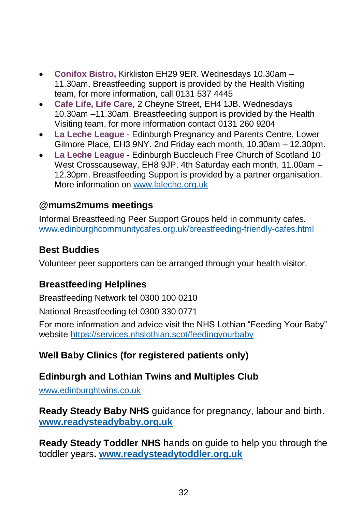- **Conifox Bistro,** Kirkliston EH29 9ER. Wednesdays 10.30am 11.30am. Breastfeeding support is provided by the Health Visiting team, for more information, call 0131 537 4445
- **Cafe Life, Life Care**, 2 Cheyne Street, EH4 1JB. Wednesdays 10.30am –11.30am. Breastfeeding support is provided by the Health Visiting team, for more information contact 0131 260 9204
- **La Leche League** Edinburgh Pregnancy and Parents Centre, Lower Gilmore Place, EH3 9NY. 2nd Friday each month, 10.30am – 12.30pm.
- **La Leche League** Edinburgh Buccleuch Free Church of Scotland 10 West Crosscauseway, EH8 9JP. 4th Saturday each month, 11.00am – 12.30pm. Breastfeeding Support is provided by a partner organisation. More information on [www.laleche.org.uk](http://www.laleche.org.uk/)

### **@mums2mums meetings**

Informal Breastfeeding Peer Support Groups held in community cafes. [www.edinburghcommunitycafes.org.uk/breastfeeding-friendly-cafes.html](http://www.edinburghcommunitycafes.org.uk/breastfeeding-friendly-cafes.html)

## **Best Buddies**

Volunteer peer supporters can be arranged through your health visitor.

## **Breastfeeding Helplines**

Breastfeeding Network tel 0300 100 0210

National Breastfeeding tel 0300 330 0771

For more information and advice visit the NHS Lothian "Feeding Your Baby" website<https://services.nhslothian.scot/feedingyourbaby>

## **Well Baby Clinics (for registered patients only)**

## **Edinburgh and Lothian Twins and Multiples Club**

[www.edinburghtwins.co.uk](http://www.edinburghtwins.co.uk/)

**Ready Steady Baby NHS** guidance for pregnancy, labour and birth. **[www.readysteadybaby.org.uk](http://www.readysteadybaby.org.uk/)**

**Ready Steady Toddler NHS** hands on guide to help you through the toddler years**. [www.readysteadytoddler.org.uk](http://www.readysteadytoddler.org.uk/)**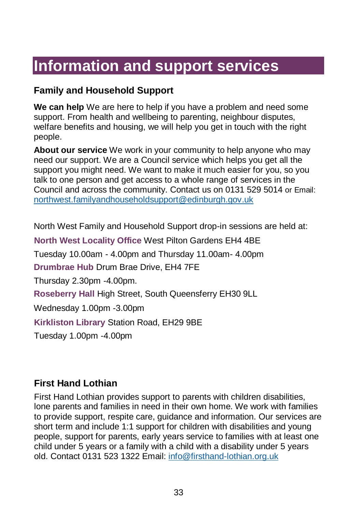# <span id="page-32-0"></span>**Information and support services**

#### **Family and Household Support**

**We can help** We are here to help if you have a problem and need some support. From health and wellbeing to parenting, neighbour disputes, welfare benefits and housing, we will help you get in touch with the right people.

**About our service** We work in your community to help anyone who may need our support. We are a Council service which helps you get all the support you might need. We want to make it much easier for you, so you talk to one person and get access to a whole range of services in the Council and across the community. Contact us on 0131 529 5014 or Email: northwest.familyandhouseholdsupport@edinburgh.gov.uk

North West Family and Household Support drop-in sessions are held at:

**North West Locality Office** West Pilton Gardens EH4 4BE Tuesday 10.00am - 4.00pm and Thursday 11.00am- 4.00pm **Drumbrae Hub** Drum Brae Drive, EH4 7FE Thursday 2.30pm -4.00pm. **Roseberry Hall** High Street, South Queensferry EH30 9LL Wednesday 1.00pm -3.00pm **Kirkliston Library** Station Road, EH29 9BE Tuesday 1.00pm -4.00pm

#### **First Hand Lothian**

First Hand Lothian provides support to parents with children disabilities, lone parents and families in need in their own home. We work with families to provide support, respite care, guidance and information. Our services are short term and include 1:1 support for children with disabilities and young people, support for parents, early years service to families with at least one child under 5 years or a family with a child with a disability under 5 years old. Contact 0131 523 1322 Email: [info@firsthand-lothian.org.uk](mailto:info@firsthand-lothian.org.uk)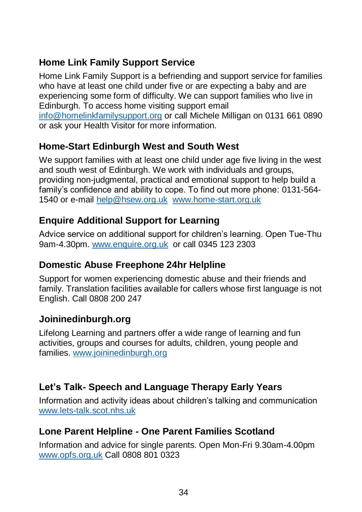## **Home Link Family Support Service**

Home Link Family Support is a befriending and support service for families who have at least one child under five or are expecting a baby and are experiencing some form of difficulty. We can support families who live in Edinburgh. To access home visiting support email [info@homelinkfamilysupport.org](mailto:info@homelinkfamilysupport.org) or call Michele Milligan on 0131 661 0890

or ask your Health Visitor for more information.

## **Home-Start Edinburgh West and South West**

We support families with at least one child under age five living in the west and south west of Edinburgh. We work with individuals and groups, providing non-judgmental, practical and emotional support to help build a family's confidence and ability to cope. To find out more phone: 0131-564- 1540 or e-mail [help@hsew.org.uk](mailto:help@hsew.org.uk) [www.home-start.org.uk](http://www.home-start.org.uk/)

## **Enquire Additional Support for Learning**

Advice service on additional support for children's learning. Open Tue-Thu 9am-4.30pm. [www.enquire.org.uk](http://www.enquire.org.uk/) or call 0345 123 2303

### **Domestic Abuse Freephone 24hr Helpline**

Support for women experiencing domestic abuse and their friends and family. Translation facilities available for callers whose first language is not English. Call 0808 200 247

## **Joininedinburgh.org**

Lifelong Learning and partners offer a wide range of learning and fun activities, groups and courses for adults, children, young people and families. [www.joininedinburgh.org](http://www.joininedinburgh.org/)

## **Let's Talk- Speech and Language Therapy Early Years**

Information and activity ideas about children's talking and communication [www.lets-talk.scot.nhs.uk](http://www.lets-talk.scot.nhs.uk/)

### **Lone Parent Helpline - One Parent Families Scotland**

Information and advice for single parents. Open Mon-Fri 9.30am-4.00pm [www.opfs.org.uk](http://www.opfs.org.uk/) Call 0808 801 0323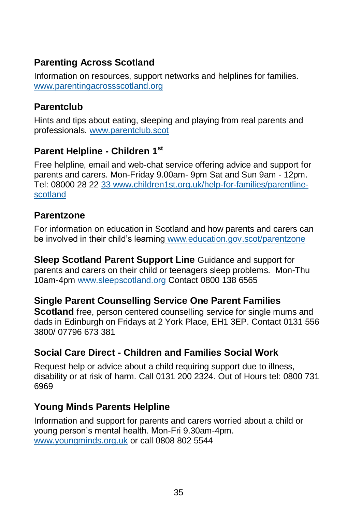## **Parenting Across Scotland**

Information on resources, support networks and helplines for families. [www.parentingacrossscotland.org](http://www.parentingacrossscotland.org/)

## **Parentclub**

Hints and tips about eating, sleeping and playing from real parents and professionals. [www.parentclub.scot](http://www.parentclub.scot/)

## **Parent Helpline - Children 1st**

Free helpline, email and web-chat service offering advice and support for parents and carers. Mon-Friday 9.00am- 9pm Sat and Sun 9am - 12pm. Tel: 08000 28 22 33 [www.children1st.org.uk/help-for-families/parentline](http://www.children1st.org.uk/help-for-families/parentline-scotland/)[scotland](http://www.children1st.org.uk/help-for-families/parentline-scotland/)

### **Parentzone**

For information on education in Scotland and how parents and carers can be involved in their child's learning [www.education.gov.scot/parentzone](http://www.education.gov.scot/parentzone)

**Sleep Scotland Parent Support Line** Guidance and support for parents and carers on their child or teenagers sleep problems. Mon-Thu 10am-4pm [www.sleepscotland.org](http://www.sleepscotland.org/) Contact 0800 138 6565

### **Single Parent Counselling Service One Parent Families**

**Scotland** free, person centered counselling service for single mums and dads in Edinburgh on Fridays at 2 York Place, EH1 3EP. Contact 0131 556 3800/ 07796 673 381

## **Social Care Direct - Children and Families Social Work**

Request help or advice about a child requiring support due to illness, disability or at risk of harm. Call 0131 200 2324. Out of Hours tel: 0800 731 6969

### **Young Minds Parents Helpline**

Information and support for parents and carers worried about a child or young person's mental health. Mon-Fri 9.30am-4pm. [www.youngminds.org.uk](http://www.youngminds.org.uk/) or call 0808 802 5544